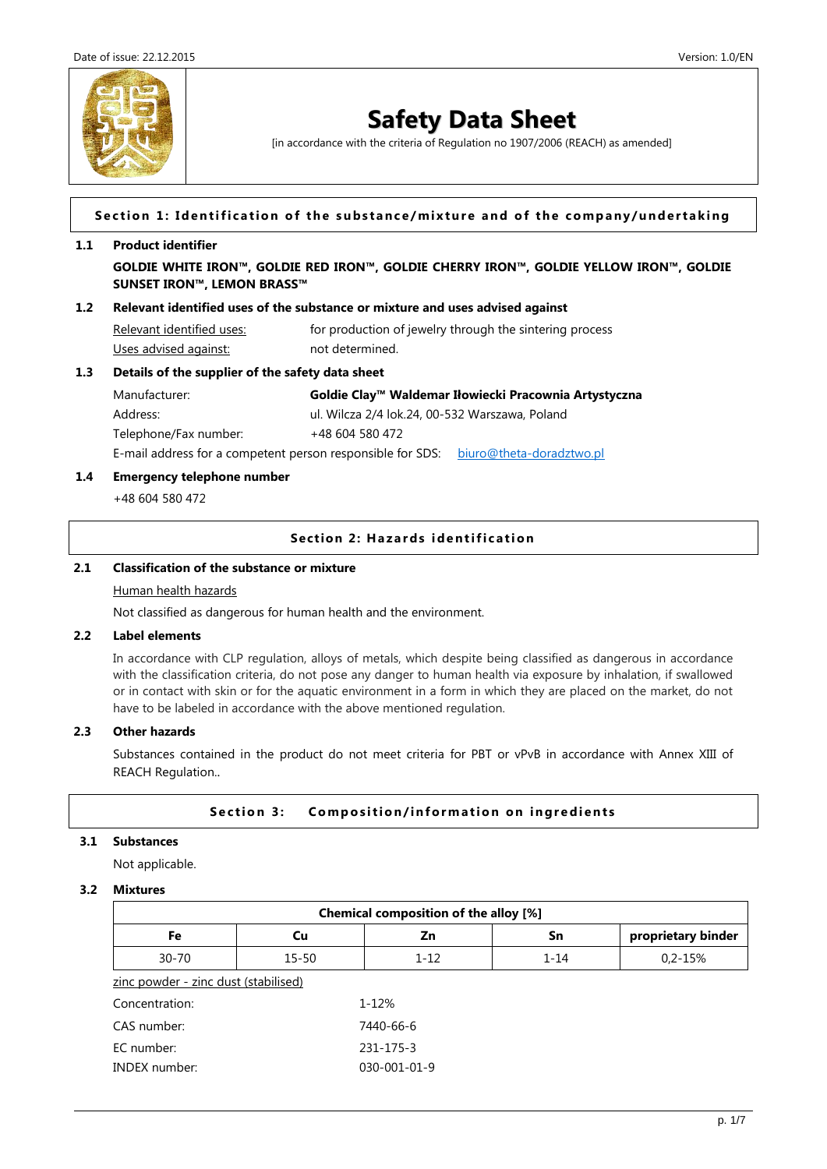

[in accordance with the criteria of Regulation no 1907/2006 (REACH) as amended]

#### Section 1: Identification of the substance/mixture and of the company/undertaking

#### **1.1 Product identifier**

**GOLDIE WHITE IRON™, GOLDIE RED IRON™, GOLDIE CHERRY IRON™, GOLDIE YELLOW IRON™, GOLDIE SUNSET IRON™, LEMON BRASS™**

#### **1.2 Relevant identified uses of the substance or mixture and uses advised against**

Relevant identified uses: for production of jewelry through the sintering process Uses advised against: not determined.

#### **1.3 Details of the supplier of the safety data sheet**

| Manufacturer:                                              |                 | Goldie Clay™ Waldemar Iłowiecki Pracownia Artystyczna |  |
|------------------------------------------------------------|-----------------|-------------------------------------------------------|--|
| Address:                                                   |                 | ul. Wilcza 2/4 lok.24, 00-532 Warszawa, Poland        |  |
| Telephone/Fax number:                                      | +48 604 580 472 |                                                       |  |
| E-mail address for a competent person responsible for SDS: |                 | biuro@theta-doradztwo.pl                              |  |

#### **1.4 Emergency telephone number**

+48 604 580 472

### **Section 2: Hazards identification**

## **2.1 Classification of the substance or mixture**

## Human health hazards

Not classified as dangerous for human health and the environment.

#### **2.2 Label elements**

In accordance with CLP regulation, alloys of metals, which despite being classified as dangerous in accordance with the classification criteria, do not pose any danger to human health via exposure by inhalation, if swallowed or in contact with skin or for the aquatic environment in a form in which they are placed on the market, do not have to be labeled in accordance with the above mentioned regulation.

#### **2.3 Other hazards**

Substances contained in the product do not meet criteria for PBT or vPvB in accordance with Annex XIII of REACH Regulation..

## **Section 3:** Composition/information on ingredients

## **3.1 Substances**

Not applicable.

### **3.2 Mixtures**

| Chemical composition of the alloy [%] |           |              |          |                    |  |
|---------------------------------------|-----------|--------------|----------|--------------------|--|
| Fe                                    | Cu        | Zn           | Sn       | proprietary binder |  |
| $30 - 70$                             | $15 - 50$ | $1 - 12$     | $1 - 14$ | $0.2 - 15%$        |  |
| zinc powder - zinc dust (stabilised)  |           |              |          |                    |  |
| Concentration:                        |           | 1-12%        |          |                    |  |
| CAS number:                           |           | 7440-66-6    |          |                    |  |
| EC number:                            |           | 231-175-3    |          |                    |  |
| <b>INDEX</b> number:                  |           | 030-001-01-9 |          |                    |  |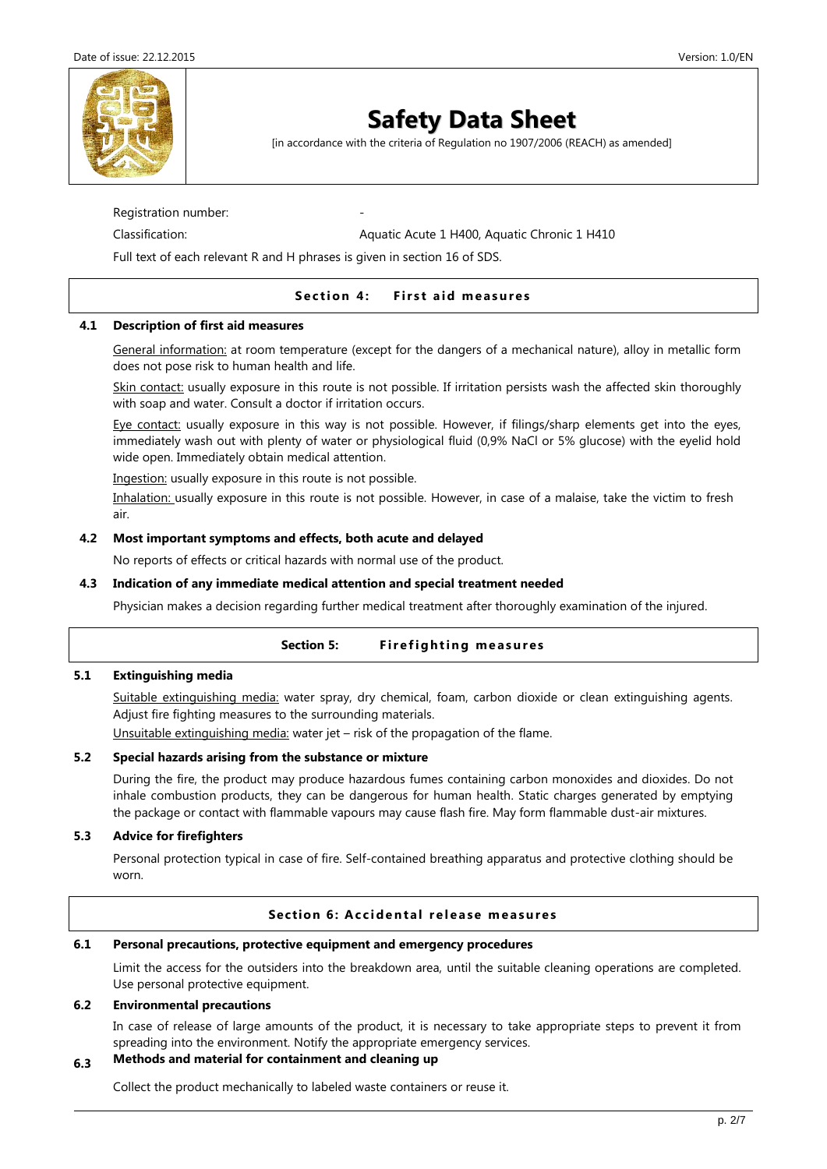

[in accordance with the criteria of Regulation no 1907/2006 (REACH) as amended]

Registration number:

Classification: <br>
Aquatic Acute 1 H400, Aquatic Chronic 1 H410

Full text of each relevant R and H phrases is given in section 16 of SDS.

## **Section 4:** First aid measures

## **4.1 Description of first aid measures**

General information: at room temperature (except for the dangers of a mechanical nature), alloy in metallic form does not pose risk to human health and life.

Skin contact: usually exposure in this route is not possible. If irritation persists wash the affected skin thoroughly with soap and water. Consult a doctor if irritation occurs.

Eye contact: usually exposure in this way is not possible. However, if filings/sharp elements get into the eyes, immediately wash out with plenty of water or physiological fluid (0,9% NaCl or 5% glucose) with the eyelid hold wide open. Immediately obtain medical attention.

Ingestion: usually exposure in this route is not possible.

Inhalation: usually exposure in this route is not possible. However, in case of a malaise, take the victim to fresh air.

## **4.2 Most important symptoms and effects, both acute and delayed**

No reports of effects or critical hazards with normal use of the product.

## **4.3 Indication of any immediate medical attention and special treatment needed**

Physician makes a decision regarding further medical treatment after thoroughly examination of the injured.

## Section 5: Firefighting measures

## **5.1 Extinguishing media**

Suitable extinguishing media: water spray, dry chemical, foam, carbon dioxide or clean extinguishing agents. Adjust fire fighting measures to the surrounding materials.

Unsuitable extinguishing media: water jet – risk of the propagation of the flame.

## **5.2 Special hazards arising from the substance or mixture**

During the fire, the product may produce hazardous fumes containing carbon monoxides and dioxides. Do not inhale combustion products, they can be dangerous for human health. Static charges generated by emptying the package or contact with flammable vapours may cause flash fire. May form flammable dust-air mixtures.

## **5.3 Advice for firefighters**

Personal protection typical in case of fire. Self-contained breathing apparatus and protective clothing should be worn.

## **Section 6: Accidental release measures**

#### **6.1 Personal precautions, protective equipment and emergency procedures**

Limit the access for the outsiders into the breakdown area, until the suitable cleaning operations are completed. Use personal protective equipment.

#### **6.2 Environmental precautions**

In case of release of large amounts of the product, it is necessary to take appropriate steps to prevent it from spreading into the environment. Notify the appropriate emergency services.

## **6.3 Methods and material for containment and cleaning up**

Collect the product mechanically to labeled waste containers or reuse it.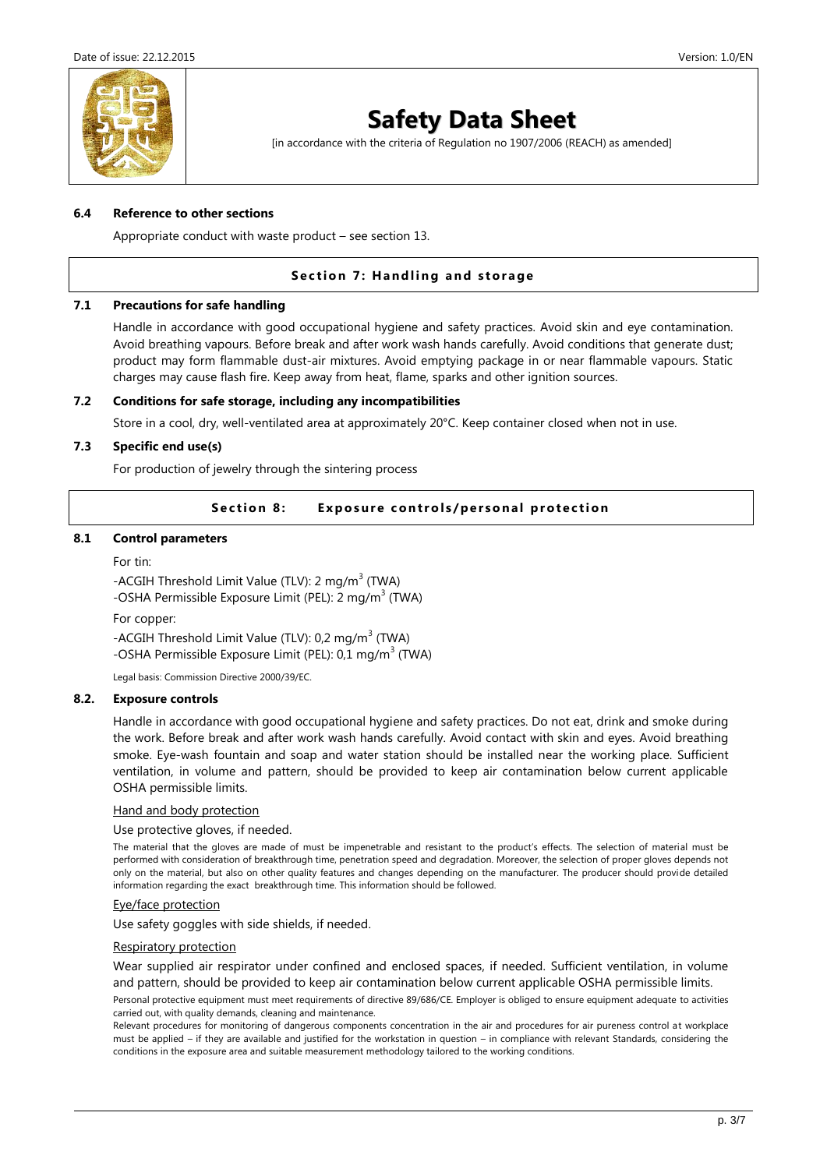

[in accordance with the criteria of Regulation no 1907/2006 (REACH) as amended]

#### **6.4 Reference to other sections**

Appropriate conduct with waste product – see section 13.

## **Section 7: Handling and storage**

#### **7.1 Precautions for safe handling**

Handle in accordance with good occupational hygiene and safety practices. Avoid skin and eye contamination. Avoid breathing vapours. Before break and after work wash hands carefully. Avoid conditions that generate dust; product may form flammable dust-air mixtures. Avoid emptying package in or near flammable vapours. Static charges may cause flash fire. Keep away from heat, flame, sparks and other ignition sources.

#### **7.2 Conditions for safe storage, including any incompatibilities**

Store in a cool, dry, well-ventilated area at approximately 20°C. Keep container closed when not in use.

#### **7.3 Specific end use(s)**

For production of jewelry through the sintering process

## **Section 8:** Exposure controls/personal protection

### **8.1 Control parameters**

For tin:

-ACGIH Threshold Limit Value (TLV): 2 mg/m<sup>3</sup> (TWA) -OSHA Permissible Exposure Limit (PEL): 2 mg/m<sup>3</sup> (TWA)

For copper:

-ACGIH Threshold Limit Value (TLV): 0,2 mg/m<sup>3</sup> (TWA) -OSHA Permissible Exposure Limit (PEL): 0,1 mg/m<sup>3</sup> (TWA)

Legal basis: Commission Directive 2000/39/EC.

#### **8.2. Exposure controls**

Handle in accordance with good occupational hygiene and safety practices. Do not eat, drink and smoke during the work. Before break and after work wash hands carefully. Avoid contact with skin and eyes. Avoid breathing smoke. Eye-wash fountain and soap and water station should be installed near the working place. Sufficient ventilation, in volume and pattern, should be provided to keep air contamination below current applicable OSHA permissible limits.

#### Hand and body protection

#### Use protective gloves, if needed.

The material that the gloves are made of must be impenetrable and resistant to the product's effects. The selection of material must be performed with consideration of breakthrough time, penetration speed and degradation. Moreover, the selection of proper gloves depends not only on the material, but also on other quality features and changes depending on the manufacturer. The producer should provide detailed information regarding the exact breakthrough time. This information should be followed.

#### Eye/face protection

Use safety goggles with side shields, if needed.

#### Respiratory protection

Wear supplied air respirator under confined and enclosed spaces, if needed. Sufficient ventilation, in volume and pattern, should be provided to keep air contamination below current applicable OSHA permissible limits.

Personal protective equipment must meet requirements of directive 89/686/CE. Employer is obliged to ensure equipment adequate to activities carried out, with quality demands, cleaning and maintenance.

Relevant procedures for monitoring of dangerous components concentration in the air and procedures for air pureness control at workplace must be applied – if they are available and justified for the workstation in question – in compliance with relevant Standards, considering the conditions in the exposure area and suitable measurement methodology tailored to the working conditions.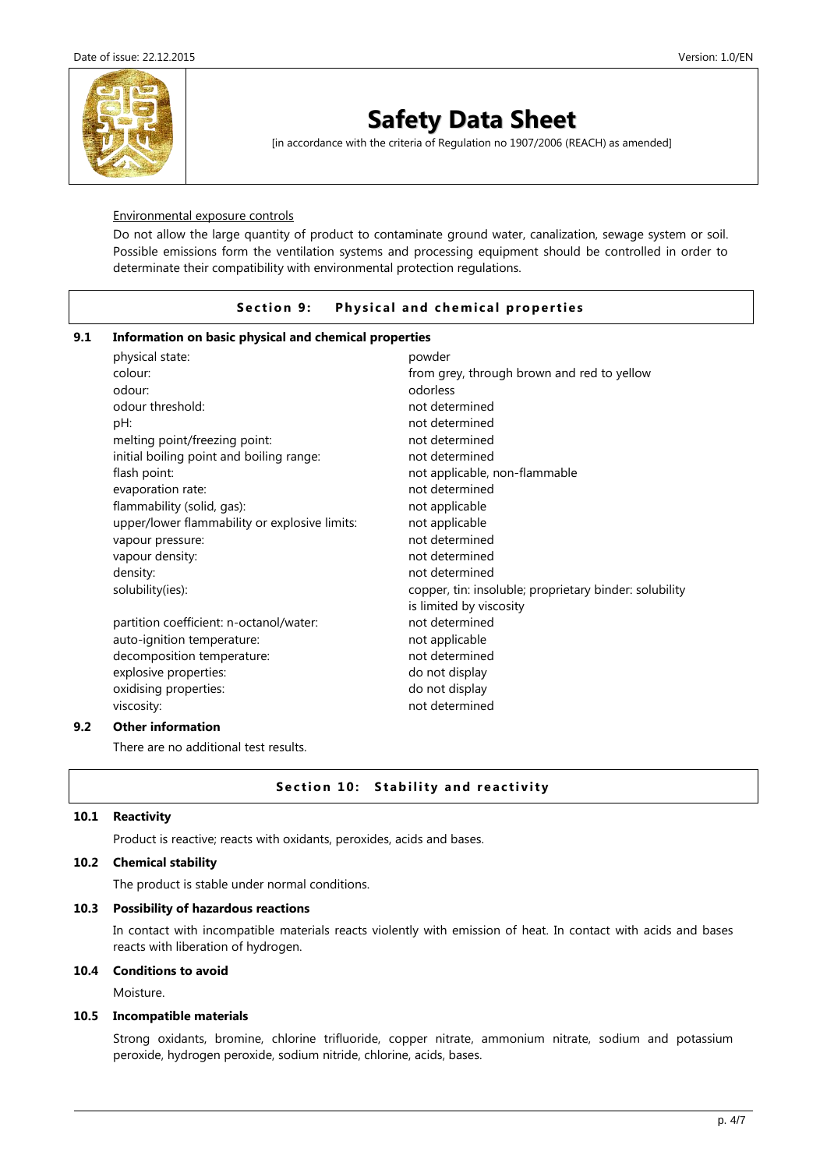

[in accordance with the criteria of Regulation no 1907/2006 (REACH) as amended]

#### Environmental exposure controls

Do not allow the large quantity of product to contaminate ground water, canalization, sewage system or soil. Possible emissions form the ventilation systems and processing equipment should be controlled in order to determinate their compatibility with environmental protection regulations.

## **Section 9:** Physical and chemical properties

### **9.1 Information on basic physical and chemical properties**

| physical state:                               | powder                                                 |
|-----------------------------------------------|--------------------------------------------------------|
| colour:                                       | from grey, through brown and red to yellow             |
| odour:                                        | odorless                                               |
| odour threshold:                              | not determined                                         |
| pH:                                           | not determined                                         |
| melting point/freezing point:                 | not determined                                         |
| initial boiling point and boiling range:      | not determined                                         |
| flash point:                                  | not applicable, non-flammable                          |
| evaporation rate:                             | not determined                                         |
| flammability (solid, gas):                    | not applicable                                         |
| upper/lower flammability or explosive limits: | not applicable                                         |
| vapour pressure:                              | not determined                                         |
| vapour density:                               | not determined                                         |
| density:                                      | not determined                                         |
| solubility(ies):                              | copper, tin: insoluble; proprietary binder: solubility |
|                                               | is limited by viscosity                                |
| partition coefficient: n-octanol/water:       | not determined                                         |
| auto-ignition temperature:                    | not applicable                                         |
| decomposition temperature:                    | not determined                                         |
| explosive properties:                         | do not display                                         |
| oxidising properties:                         | do not display                                         |
| viscosity:                                    | not determined                                         |
| 04 h a vital a veza a 41 a                    |                                                        |

## **9.2 Other information**

There are no additional test results.

## **Section 10: Stability and reactivity**

#### **10.1 Reactivity**

Product is reactive; reacts with oxidants, peroxides, acids and bases.

## **10.2 Chemical stability**

The product is stable under normal conditions.

#### **10.3 Possibility of hazardous reactions**

In contact with incompatible materials reacts violently with emission of heat. In contact with acids and bases reacts with liberation of hydrogen.

#### **10.4 Conditions to avoid**

Moisture.

#### **10.5 Incompatible materials**

Strong oxidants, bromine, chlorine trifluoride, copper nitrate, ammonium nitrate, sodium and potassium peroxide, hydrogen peroxide, sodium nitride, chlorine, acids, bases.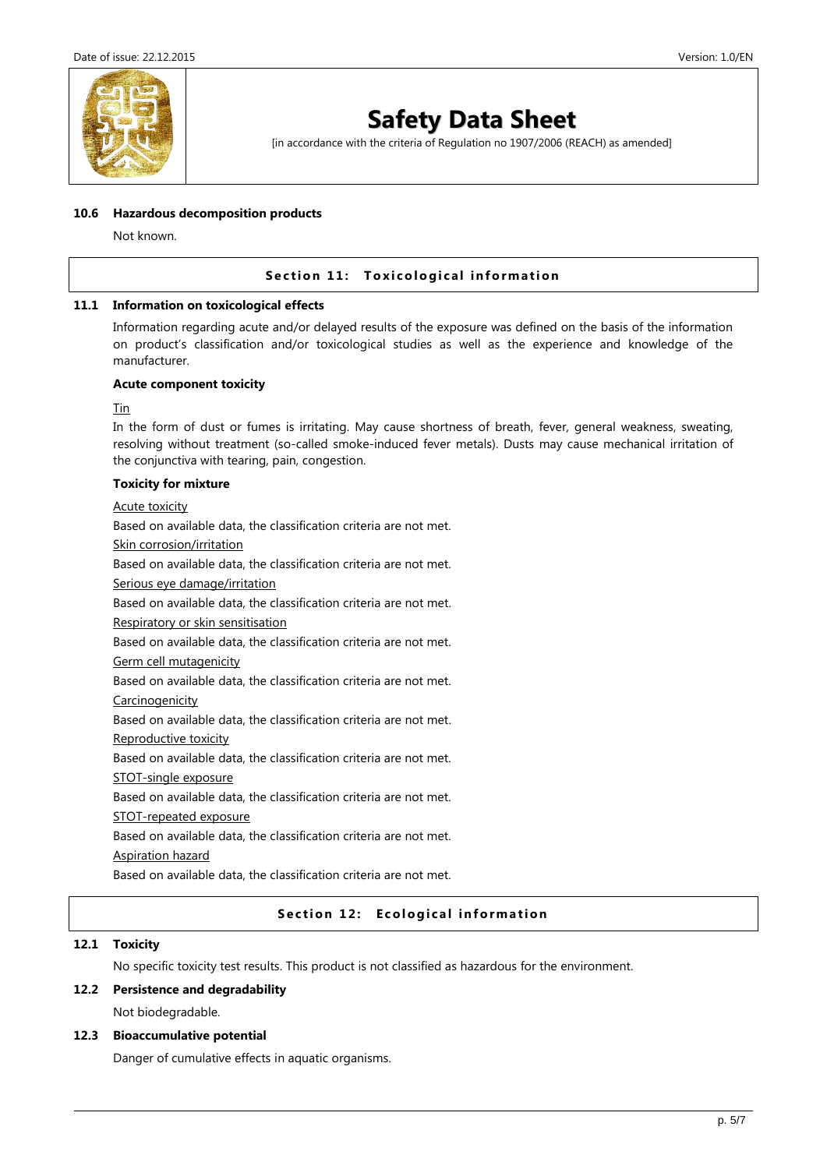

[in accordance with the criteria of Regulation no 1907/2006 (REACH) as amended]

#### **10.6 Hazardous decomposition products**

Not known.

## **Section 11: Toxicological information**

#### **11.1 Information on toxicological effects**

Information regarding acute and/or delayed results of the exposure was defined on the basis of the information on product's classification and/or toxicological studies as well as the experience and knowledge of the manufacturer.

#### **Acute component toxicity**

Tin

In the form of dust or fumes is irritating. May cause shortness of breath, fever, general weakness, sweating, resolving without treatment (so-called smoke-induced fever metals). Dusts may cause mechanical irritation of the conjunctiva with tearing, pain, congestion.

## **Toxicity for mixture**

Acute toxicity

Based on available data, the classification criteria are not met.

Skin corrosion/irritation

Based on available data, the classification criteria are not met.

Serious eye damage/irritation

Based on available data, the classification criteria are not met.

Respiratory or skin sensitisation

Based on available data, the classification criteria are not met.

Germ cell mutagenicity

Based on available data, the classification criteria are not met.

Carcinogenicity

Based on available data, the classification criteria are not met.

Reproductive toxicity

Based on available data, the classification criteria are not met.

STOT-single exposure

Based on available data, the classification criteria are not met.

STOT-repeated exposure

Based on available data, the classification criteria are not met.

Aspiration hazard

Based on available data, the classification criteria are not met.

## **Section 12: Ecological information**

### **12.1 Toxicity**

No specific toxicity test results. This product is not classified as hazardous for the environment.

#### **12.2 Persistence and degradability**

Not biodegradable.

#### **12.3 Bioaccumulative potential**

Danger of cumulative effects in aquatic organisms.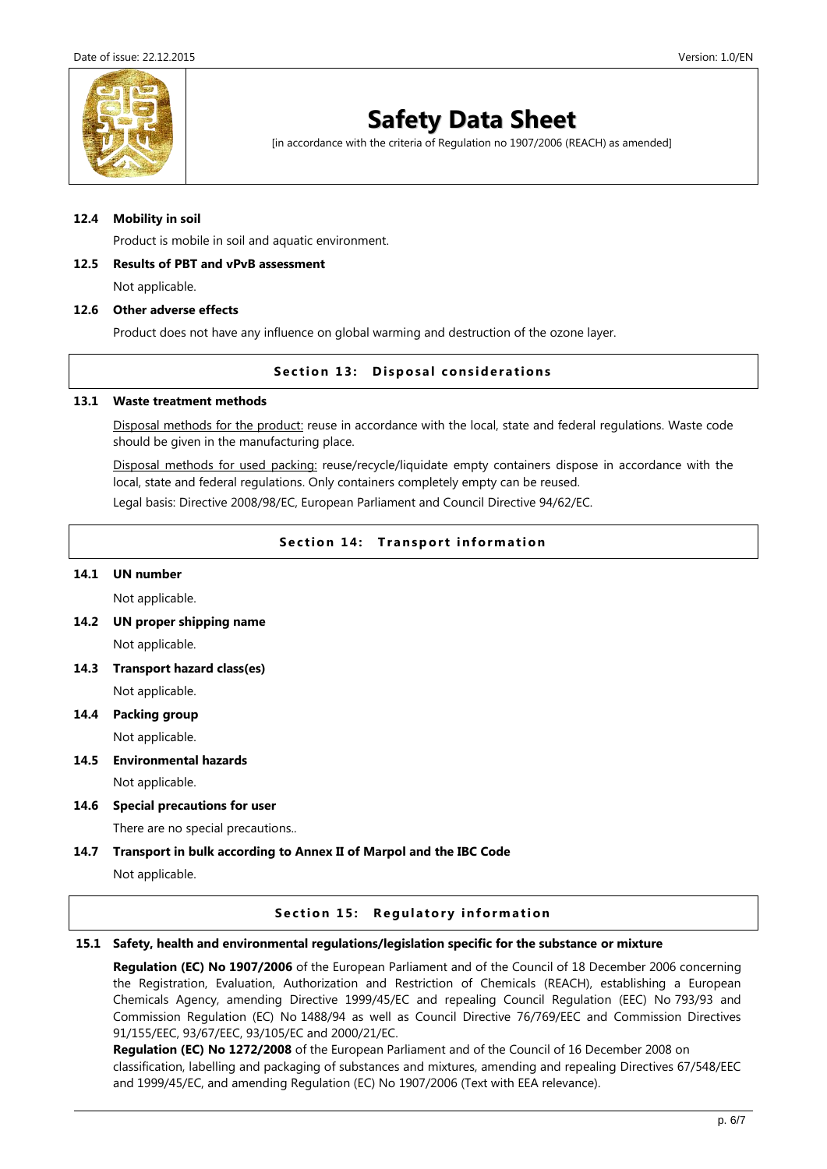

[in accordance with the criteria of Regulation no 1907/2006 (REACH) as amended]

#### **12.4 Mobility in soil**

Product is mobile in soil and aquatic environment.

#### **12.5 Results of PBT and vPvB assessment**

Not applicable.

#### **12.6 Other adverse effects**

Product does not have any influence on global warming and destruction of the ozone layer.

#### **Section 13: Disposal considerations**

#### **13.1 Waste treatment methods**

Disposal methods for the product: reuse in accordance with the local, state and federal regulations. Waste code should be given in the manufacturing place.

Disposal methods for used packing: reuse/recycle/liquidate empty containers dispose in accordance with the local, state and federal regulations. Only containers completely empty can be reused.

Legal basis: Directive 2008/98/EC, European Parliament and Council Directive 94/62/EC.

## **Section 14: Transport information**

#### **14.1 UN number**

Not applicable.

**14.2 UN proper shipping name**

Not applicable.

- **14.3 Transport hazard class(es)** Not applicable.
- **14.4 Packing group**

Not applicable.

**14.5 Environmental hazards**

Not applicable.

**14.6 Special precautions for user**

There are no special precautions..

## **14.7 Transport in bulk according to Annex II of Marpol and the IBC Code**

Not applicable.

#### **Section 15: Regulatory information**

#### **15.1 Safety, health and environmental regulations/legislation specific for the substance or mixture**

**Regulation (EC) No 1907/2006** of the European Parliament and of the Council of 18 December 2006 concerning the Registration, Evaluation, Authorization and Restriction of Chemicals (REACH), establishing a European Chemicals Agency, amending Directive 1999/45/EC and repealing Council Regulation (EEC) No 793/93 and Commission Regulation (EC) No 1488/94 as well as Council Directive 76/769/EEC and Commission Directives 91/155/EEC, 93/67/EEC, 93/105/EC and 2000/21/EC.

**Regulation (EC) No 1272/2008** of the European Parliament and of the Council of 16 December 2008 on classification, labelling and packaging of substances and mixtures, amending and repealing Directives 67/548/EEC and 1999/45/EC, and amending Regulation (EC) No 1907/2006 (Text with EEA relevance).